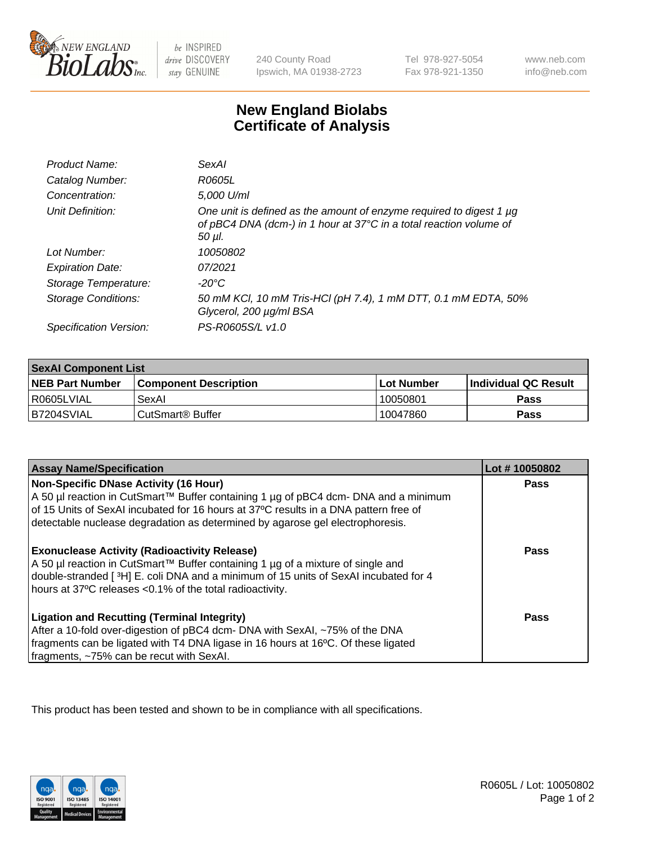

be INSPIRED drive DISCOVERY stay GENUINE

240 County Road Ipswich, MA 01938-2723 Tel 978-927-5054 Fax 978-921-1350

www.neb.com info@neb.com

## **New England Biolabs Certificate of Analysis**

| Product Name:              | SexAI                                                                                                                                                   |
|----------------------------|---------------------------------------------------------------------------------------------------------------------------------------------------------|
| Catalog Number:            | R0605L                                                                                                                                                  |
| Concentration:             | 5,000 U/ml                                                                                                                                              |
| Unit Definition:           | One unit is defined as the amount of enzyme required to digest 1 µg<br>of pBC4 DNA (dcm-) in 1 hour at 37°C in a total reaction volume of<br>$50 \mu$ . |
| Lot Number:                | 10050802                                                                                                                                                |
| <b>Expiration Date:</b>    | 07/2021                                                                                                                                                 |
| Storage Temperature:       | -20°C                                                                                                                                                   |
| <b>Storage Conditions:</b> | 50 mM KCl, 10 mM Tris-HCl (pH 7.4), 1 mM DTT, 0.1 mM EDTA, 50%<br>Glycerol, 200 µg/ml BSA                                                               |
| Specification Version:     | PS-R0605S/L v1.0                                                                                                                                        |

| <b>SexAl Component List</b> |                              |             |                       |  |
|-----------------------------|------------------------------|-------------|-----------------------|--|
| <b>NEB Part Number</b>      | <b>Component Description</b> | ⊺Lot Number | ∣Individual QC Result |  |
| R0605LVIAL                  | SexAl                        | 10050801    | Pass                  |  |
| IB7204SVIAL                 | l CutSmart® Buffer           | 10047860    | <b>Pass</b>           |  |

| <b>Assay Name/Specification</b>                                                                                                                                                                                                                                                                       | Lot #10050802 |
|-------------------------------------------------------------------------------------------------------------------------------------------------------------------------------------------------------------------------------------------------------------------------------------------------------|---------------|
| Non-Specific DNase Activity (16 Hour)<br>A 50 µl reaction in CutSmart™ Buffer containing 1 µg of pBC4 dcm- DNA and a minimum<br>of 15 Units of SexAI incubated for 16 hours at 37°C results in a DNA pattern free of<br>detectable nuclease degradation as determined by agarose gel electrophoresis. | <b>Pass</b>   |
| <b>Exonuclease Activity (Radioactivity Release)</b><br>A 50 µl reaction in CutSmart™ Buffer containing 1 µg of a mixture of single and<br>double-stranded [3H] E. coli DNA and a minimum of 15 units of SexAI incubated for 4<br>hours at 37°C releases <0.1% of the total radioactivity.             | Pass          |
| <b>Ligation and Recutting (Terminal Integrity)</b><br>After a 10-fold over-digestion of pBC4 dcm- DNA with SexAI, ~75% of the DNA<br>fragments can be ligated with T4 DNA ligase in 16 hours at 16°C. Of these ligated<br>fragments, ~75% can be recut with SexAI.                                    | Pass          |

This product has been tested and shown to be in compliance with all specifications.